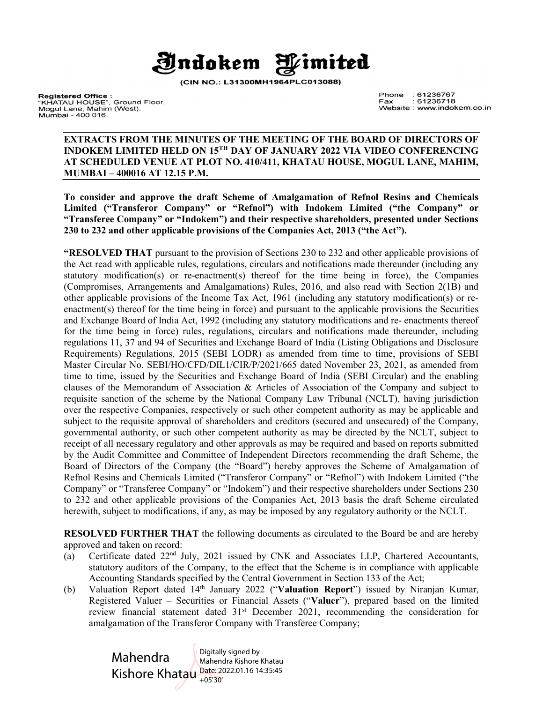

(CIN NO.: L31300MH1964PLC013088)

**Registered Office :**<br>"KHATAU HOUSE", Ground Floor.<br>Mogul Lane, Mahim (West). Mumbai - 400 016.

Phone  $:61236767$  $: 61236718$ Fax Website : www.indokem.co.in

#### EXTRACTS FROM THE MINUTES OF THE MEETING OF THE BOARD OF DIRECTORS OF INDOKEM LIMITED HELD ON 15TH DAY OF JANUARY 2022 VIA VIDEO CONFERENCING AT SCHEDULED VENUE AT PLOT NO. 410/411, KHATAU HOUSE, MOGUL LANE, MAHIM, MUMBAI – 400016 AT 12.15 P.M.

To consider and approve the draft Scheme of Amalgamation of Refnol Resins and Chemicals Limited ("Transferor Company" or "Refnol") with Indokem Limited ("the Company" or "Transferee Company" or "Indokem") and their respective shareholders, presented under Sections 230 to 232 and other applicable provisions of the Companies Act, 2013 ("the Act").

"RESOLVED THAT pursuant to the provision of Sections 230 to 232 and other applicable provisions of the Act read with applicable rules, regulations, circulars and notifications made thereunder (including any statutory modification(s) or re-enactment(s) thereof for the time being in force), the Companies (Compromises, Arrangements and Amalgamations) Rules, 2016, and also read with Section 2(1B) and other applicable provisions of the Income Tax Act, 1961 (including any statutory modification(s) or reenactment(s) thereof for the time being in force) and pursuant to the applicable provisions the Securities and Exchange Board of India Act, 1992 (including any statutory modifications and re- enactments thereof for the time being in force) rules, regulations, circulars and notifications made thereunder, including regulations 11, 37 and 94 of Securities and Exchange Board of India (Listing Obligations and Disclosure Requirements) Regulations, 2015 (SEBI LODR) as amended from time to time, provisions of SEBI Master Circular No. SEBI/HO/CFD/DIL1/CIR/P/2021/665 dated November 23, 2021, as amended from time to time, issued by the Securities and Exchange Board of India (SEBI Circular) and the enabling clauses of the Memorandum of Association & Articles of Association of the Company and subject to requisite sanction of the scheme by the National Company Law Tribunal (NCLT), having jurisdiction over the respective Companies, respectively or such other competent authority as may be applicable and subject to the requisite approval of shareholders and creditors (secured and unsecured) of the Company, governmental authority, or such other competent authority as may be directed by the NCLT, subject to receipt of all necessary regulatory and other approvals as may be required and based on reports submitted by the Audit Committee and Committee of Independent Directors recommending the draft Scheme, the Board of Directors of the Company (the "Board") hereby approves the Scheme of Amalgamation of Refnol Resins and Chemicals Limited ("Transferor Company" or "Refnol") with Indokem Limited ("the Company" or "Transferee Company" or "Indokem") and their respective shareholders under Sections 230 to 232 and other applicable provisions of the Companies Act, 2013 basis the draft Scheme circulated herewith, subject to modifications, if any, as may be imposed by any regulatory authority or the NCLT.

RESOLVED FURTHER THAT the following documents as circulated to the Board be and are hereby approved and taken on record:

- (a) Certificate dated 22nd July, 2021 issued by CNK and Associates LLP, Chartered Accountants, statutory auditors of the Company, to the effect that the Scheme is in compliance with applicable Accounting Standards specified by the Central Government in Section 133 of the Act;
- (b) Valuation Report dated 14<sup>th</sup> January 2022 ("Valuation Report") issued by Niranjan Kumar, Registered Valuer – Securities or Financial Assets ("Valuer"), prepared based on the limited review financial statement dated  $31<sup>st</sup>$  December 2021, recommending the consideration for amalgamation of the Transferor Company with Transferee Company;

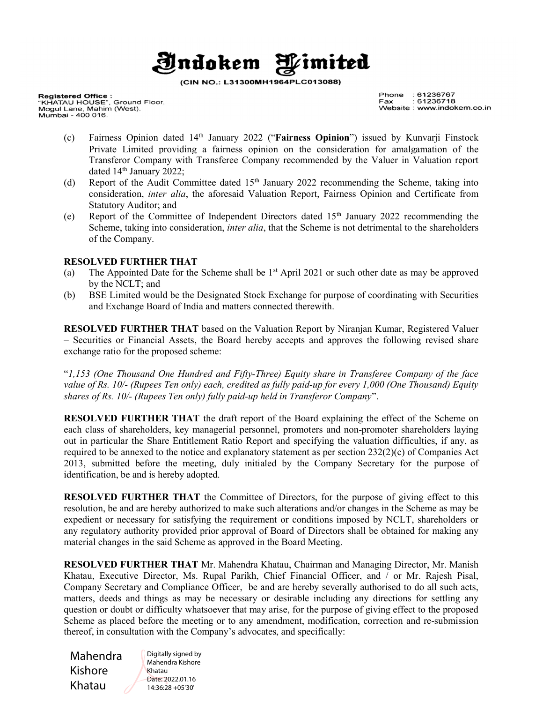### **Indokem** Wimited

(CIN NO.: L31300MH1964PLC013088)

**Registered Office :**<br>"KHATAU HOUSE", Ground Floor.<br>Mogul Lane, Mahim (West). Mumbai - 400 016.

Phone  $:61236767$  $: 61236718$ Fax Website : www.indokem.co.in

- (c) Fairness Opinion dated  $14<sup>th</sup>$  January 2022 ("Fairness Opinion") issued by Kunvarii Finstock Private Limited providing a fairness opinion on the consideration for amalgamation of the Transferor Company with Transferee Company recommended by the Valuer in Valuation report dated 14<sup>th</sup> January 2022;
- (d) Report of the Audit Committee dated  $15<sup>th</sup>$  January 2022 recommending the Scheme, taking into consideration, inter alia, the aforesaid Valuation Report, Fairness Opinion and Certificate from Statutory Auditor; and
- (e) Report of the Committee of Independent Directors dated  $15<sup>th</sup>$  January 2022 recommending the Scheme, taking into consideration, *inter alia*, that the Scheme is not detrimental to the shareholders of the Company.

### RESOLVED FURTHER THAT

- (a) The Appointed Date for the Scheme shall be  $1<sup>st</sup>$  April 2021 or such other date as may be approved by the NCLT; and
- (b) BSE Limited would be the Designated Stock Exchange for purpose of coordinating with Securities and Exchange Board of India and matters connected therewith.

RESOLVED FURTHER THAT based on the Valuation Report by Niranjan Kumar, Registered Valuer – Securities or Financial Assets, the Board hereby accepts and approves the following revised share exchange ratio for the proposed scheme:

"1,153 (One Thousand One Hundred and Fifty-Three) Equity share in Transferee Company of the face value of Rs. 10/- (Rupees Ten only) each, credited as fully paid-up for every 1,000 (One Thousand) Equity shares of Rs. 10/- (Rupees Ten only) fully paid-up held in Transferor Company".

RESOLVED FURTHER THAT the draft report of the Board explaining the effect of the Scheme on each class of shareholders, key managerial personnel, promoters and non-promoter shareholders laying out in particular the Share Entitlement Ratio Report and specifying the valuation difficulties, if any, as required to be annexed to the notice and explanatory statement as per section 232(2)(c) of Companies Act 2013, submitted before the meeting, duly initialed by the Company Secretary for the purpose of identification, be and is hereby adopted.

RESOLVED FURTHER THAT the Committee of Directors, for the purpose of giving effect to this resolution, be and are hereby authorized to make such alterations and/or changes in the Scheme as may be expedient or necessary for satisfying the requirement or conditions imposed by NCLT, shareholders or any regulatory authority provided prior approval of Board of Directors shall be obtained for making any material changes in the said Scheme as approved in the Board Meeting.

RESOLVED FURTHER THAT Mr. Mahendra Khatau, Chairman and Managing Director, Mr. Manish Khatau, Executive Director, Ms. Rupal Parikh, Chief Financial Officer, and / or Mr. Rajesh Pisal, Company Secretary and Compliance Officer, be and are hereby severally authorised to do all such acts, matters, deeds and things as may be necessary or desirable including any directions for settling any question or doubt or difficulty whatsoever that may arise, for the purpose of giving effect to the proposed Scheme as placed before the meeting or to any amendment, modification, correction and re-submission thereof, in consultation with the Company's advocates, and specifically:

Mahendra Kishore Khatau

Digitally signed by Mahendra Kishore Khatau Date: 2022.01.16 14:36:28 +05'30'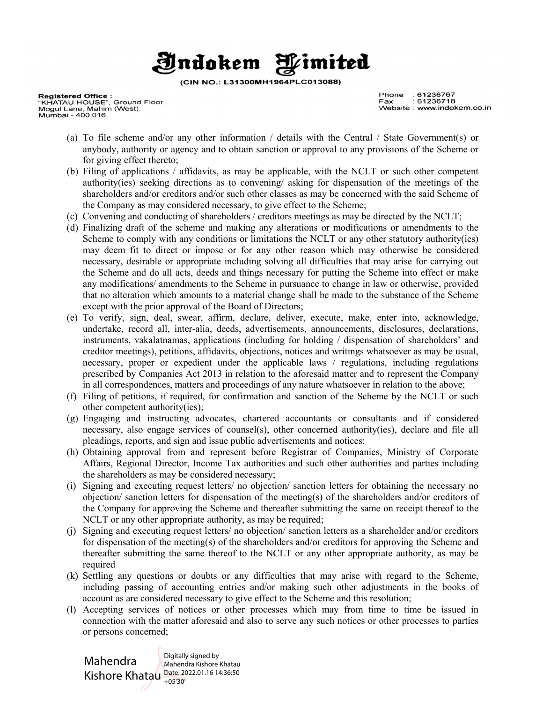## Wimited **Indokem**

(CIN NO.: L31300MH1964PLC013088)

**Registered Office :**<br>"KHATAU HOUSE", Ground Floor.<br>Mogul Lane, Mahim (West). Mumbai - 400 016.

Phone  $:61236767$  $: 61236718$ Fax Website : www.indokem.co.in

- (a) To file scheme and/or any other information / details with the Central / State Government(s) or anybody, authority or agency and to obtain sanction or approval to any provisions of the Scheme or for giving effect thereto;
- (b) Filing of applications / affidavits, as may be applicable, with the NCLT or such other competent authority(ies) seeking directions as to convening/ asking for dispensation of the meetings of the shareholders and/or creditors and/or such other classes as may be concerned with the said Scheme of the Company as may considered necessary, to give effect to the Scheme;
- (c) Convening and conducting of shareholders / creditors meetings as may be directed by the NCLT;
- (d) Finalizing draft of the scheme and making any alterations or modifications or amendments to the Scheme to comply with any conditions or limitations the NCLT or any other statutory authority(ies) may deem fit to direct or impose or for any other reason which may otherwise be considered necessary, desirable or appropriate including solving all difficulties that may arise for carrying out the Scheme and do all acts, deeds and things necessary for putting the Scheme into effect or make any modifications/ amendments to the Scheme in pursuance to change in law or otherwise, provided that no alteration which amounts to a material change shall be made to the substance of the Scheme except with the prior approval of the Board of Directors;
- (e) To verify, sign, deal, swear, affirm, declare, deliver, execute, make, enter into, acknowledge, undertake, record all, inter-alia, deeds, advertisements, announcements, disclosures, declarations, instruments, vakalatnamas, applications (including for holding / dispensation of shareholders' and creditor meetings), petitions, affidavits, objections, notices and writings whatsoever as may be usual, necessary, proper or expedient under the applicable laws / regulations, including regulations prescribed by Companies Act 2013 in relation to the aforesaid matter and to represent the Company in all correspondences, matters and proceedings of any nature whatsoever in relation to the above;
- (f) Filing of petitions, if required, for confirmation and sanction of the Scheme by the NCLT or such other competent authority(ies);
- (g) Engaging and instructing advocates, chartered accountants or consultants and if considered necessary, also engage services of counsel(s), other concerned authority(ies), declare and file all pleadings, reports, and sign and issue public advertisements and notices;
- (h) Obtaining approval from and represent before Registrar of Companies, Ministry of Corporate Affairs, Regional Director, Income Tax authorities and such other authorities and parties including the shareholders as may be considered necessary;
- (i) Signing and executing request letters/ no objection/ sanction letters for obtaining the necessary no objection/ sanction letters for dispensation of the meeting(s) of the shareholders and/or creditors of the Company for approving the Scheme and thereafter submitting the same on receipt thereof to the NCLT or any other appropriate authority, as may be required;
- (j) Signing and executing request letters/ no objection/ sanction letters as a shareholder and/or creditors for dispensation of the meeting(s) of the shareholders and/or creditors for approving the Scheme and thereafter submitting the same thereof to the NCLT or any other appropriate authority, as may be required
- (k) Settling any questions or doubts or any difficulties that may arise with regard to the Scheme, including passing of accounting entries and/or making such other adjustments in the books of account as are considered necessary to give effect to the Scheme and this resolution;
- (l) Accepting services of notices or other processes which may from time to time be issued in connection with the matter aforesaid and also to serve any such notices or other processes to parties or persons concerned;

Mahendra Kishore Khatau  $\frac{\text{Date: } 2022.01.16}{14.36:50}$ Digitally signed by Mahendra Kishore Khatau +05'30'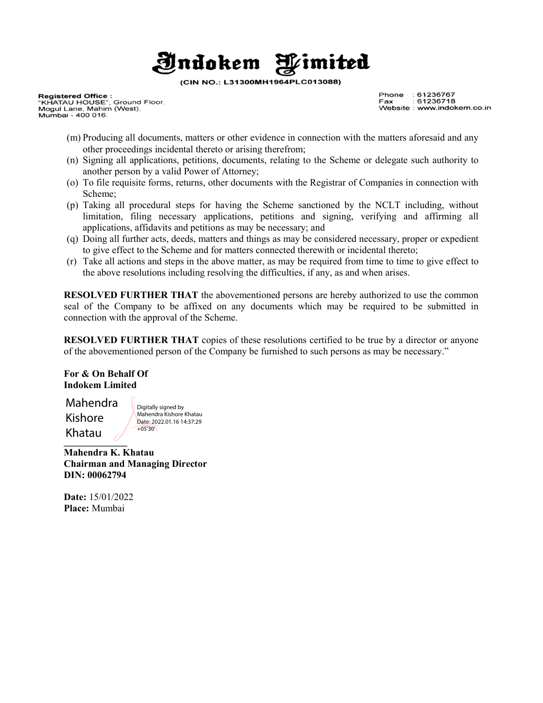### **Jndokem** Wimited

(CIN NO.: L31300MH1964PLC013088)

**Registered Office :**<br>"KHATAU HOUSE", Ground Floor.<br>Mogul Lane, Mahim (West). Mumbai - 400 016.

Phone  $:61236767$  $: 61236718$ Fax Website : www.indokem.co.in

- (m) Producing all documents, matters or other evidence in connection with the matters aforesaid and any other proceedings incidental thereto or arising therefrom;
- (n) Signing all applications, petitions, documents, relating to the Scheme or delegate such authority to another person by a valid Power of Attorney;
- (o) To file requisite forms, returns, other documents with the Registrar of Companies in connection with Scheme;
- (p) Taking all procedural steps for having the Scheme sanctioned by the NCLT including, without limitation, filing necessary applications, petitions and signing, verifying and affirming all applications, affidavits and petitions as may be necessary; and
- (q) Doing all further acts, deeds, matters and things as may be considered necessary, proper or expedient to give effect to the Scheme and for matters connected therewith or incidental thereto;
- (r) Take all actions and steps in the above matter, as may be required from time to time to give effect to the above resolutions including resolving the difficulties, if any, as and when arises.

RESOLVED FURTHER THAT the abovementioned persons are hereby authorized to use the common seal of the Company to be affixed on any documents which may be required to be submitted in connection with the approval of the Scheme.

RESOLVED FURTHER THAT copies of these resolutions certified to be true by a director or anyone of the abovementioned person of the Company be furnished to such persons as may be necessary."

For & On Behalf Of Indokem Limited

 $\overline{\phantom{a}}$ Mahendra Kishore Khatau

Digitally signed by Mahendra Kishore Khatau Date: 2022.01.16 14:37:29 +05'30'

Mahendra K. Khatau Chairman and Managing Director DIN: 00062794

Date: 15/01/2022 Place: Mumbai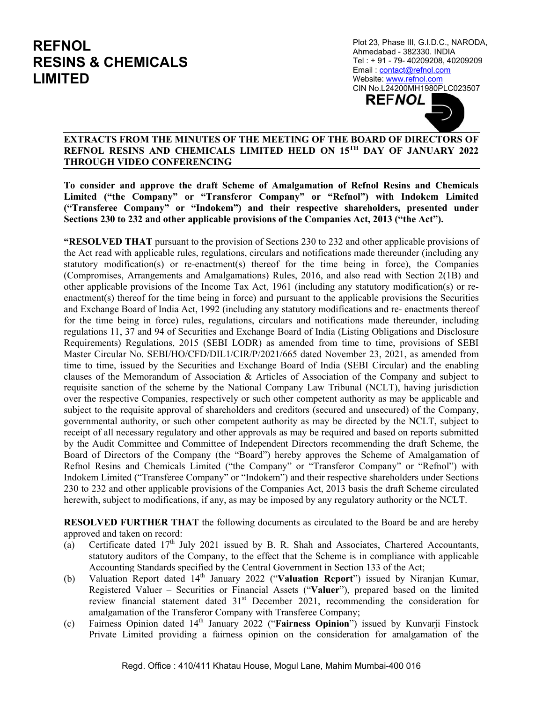Mahendra Maheruira<br>Kishore Khatau Digitally signed by Plot 23, Phase III, G.I.D.C., NARODA, Ahmedabad - 382330. INDIA Tel : + 91 - 79- 40209208, 40209209 Email : contact@refnol.com Website: www.refnol.com CIN No.L24200MH1980PLC023507 **REFNOL** 

#### $\overline{a}$ **EXTRACTS FROM THE MINUTES OF THE MEETING OF THE BOARD OF DIRECTORS OF REFNOL RESINS AND CHEMICALS LIMITED HELD ON 15TH DAY OF JANUARY 2022 THROUGH VIDEO CONFERENCING**

**To consider and approve the draft Scheme of Amalgamation of Refnol Resins and Chemicals Limited ("the Company" or "Transferor Company" or "Refnol") with Indokem Limited ("Transferee Company" or "Indokem") and their respective shareholders, presented under Sections 230 to 232 and other applicable provisions of the Companies Act, 2013 ("the Act").** 

**"RESOLVED THAT** pursuant to the provision of Sections 230 to 232 and other applicable provisions of the Act read with applicable rules, regulations, circulars and notifications made thereunder (including any statutory modification(s) or re-enactment(s) thereof for the time being in force), the Companies (Compromises, Arrangements and Amalgamations) Rules, 2016, and also read with Section 2(1B) and other applicable provisions of the Income Tax Act, 1961 (including any statutory modification(s) or reenactment(s) thereof for the time being in force) and pursuant to the applicable provisions the Securities and Exchange Board of India Act, 1992 (including any statutory modifications and re- enactments thereof for the time being in force) rules, regulations, circulars and notifications made thereunder, including regulations 11, 37 and 94 of Securities and Exchange Board of India (Listing Obligations and Disclosure Requirements) Regulations, 2015 (SEBI LODR) as amended from time to time, provisions of SEBI Master Circular No. SEBI/HO/CFD/DIL1/CIR/P/2021/665 dated November 23, 2021, as amended from time to time, issued by the Securities and Exchange Board of India (SEBI Circular) and the enabling clauses of the Memorandum of Association & Articles of Association of the Company and subject to requisite sanction of the scheme by the National Company Law Tribunal (NCLT), having jurisdiction over the respective Companies, respectively or such other competent authority as may be applicable and subject to the requisite approval of shareholders and creditors (secured and unsecured) of the Company, governmental authority, or such other competent authority as may be directed by the NCLT, subject to receipt of all necessary regulatory and other approvals as may be required and based on reports submitted by the Audit Committee and Committee of Independent Directors recommending the draft Scheme, the Board of Directors of the Company (the "Board") hereby approves the Scheme of Amalgamation of Refnol Resins and Chemicals Limited ("the Company" or "Transferor Company" or "Refnol") with Indokem Limited ("Transferee Company" or "Indokem") and their respective shareholders under Sections 230 to 232 and other applicable provisions of the Companies Act, 2013 basis the draft Scheme circulated herewith, subject to modifications, if any, as may be imposed by any regulatory authority or the NCLT.

**RESOLVED FURTHER THAT** the following documents as circulated to the Board be and are hereby approved and taken on record:

- (a) Certificate dated  $17<sup>th</sup>$  July 2021 issued by B. R. Shah and Associates, Chartered Accountants, statutory auditors of the Company, to the effect that the Scheme is in compliance with applicable Accounting Standards specified by the Central Government in Section 133 of the Act;
- (b) Valuation Report dated 14th January 2022 ("**Valuation Report**") issued by Niranjan Kumar, Registered Valuer – Securities or Financial Assets ("**Valuer**"), prepared based on the limited review financial statement dated 31<sup>st</sup> December 2021, recommending the consideration for amalgamation of the Transferor Company with Transferee Company;
- (c) Fairness Opinion dated 14th January 2022 ("**Fairness Opinion**") issued by Kunvarji Finstock Private Limited providing a fairness opinion on the consideration for amalgamation of the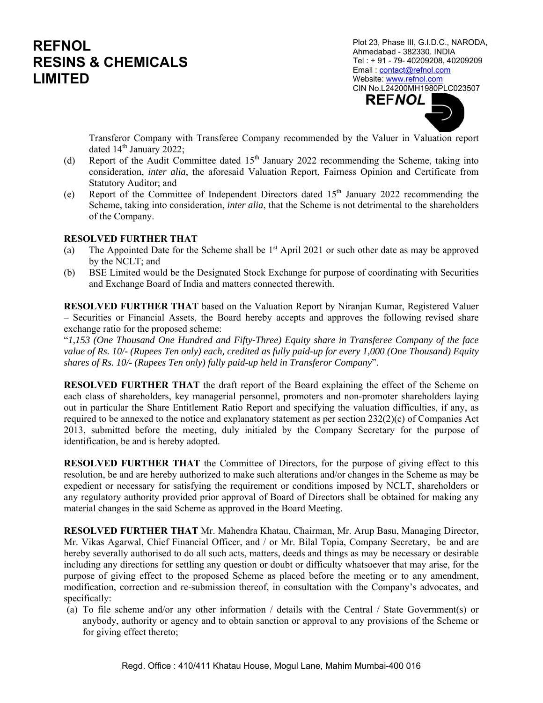Plot 23, Phase III, G.I.D.C., NARODA, Ahmedabad - 382330. INDIA Tel : + 91 - 79- 40209208, 40209209 Email : contact@refnol.com Website: www.refnol.com CIN No.L24200MH1980PLC023507 **REFNOL** 

Transferor Company with Transferee Company recommended by the Valuer in Valuation report dated  $14<sup>th</sup>$  January 2022;

- (d) Report of the Audit Committee dated  $15<sup>th</sup>$  January 2022 recommending the Scheme, taking into consideration, *inter alia*, the aforesaid Valuation Report, Fairness Opinion and Certificate from Statutory Auditor; and
- (e) Report of the Committee of Independent Directors dated  $15<sup>th</sup>$  January 2022 recommending the Scheme, taking into consideration, *inter alia*, that the Scheme is not detrimental to the shareholders of the Company.

### **RESOLVED FURTHER THAT**

- (a) The Appointed Date for the Scheme shall be  $1<sup>st</sup>$  April 2021 or such other date as may be approved by the NCLT; and
- (b) BSE Limited would be the Designated Stock Exchange for purpose of coordinating with Securities and Exchange Board of India and matters connected therewith.

**RESOLVED FURTHER THAT** based on the Valuation Report by Niranjan Kumar, Registered Valuer – Securities or Financial Assets, the Board hereby accepts and approves the following revised share exchange ratio for the proposed scheme:

"*1,153 (One Thousand One Hundred and Fifty-Three) Equity share in Transferee Company of the face value of Rs. 10/- (Rupees Ten only) each, credited as fully paid-up for every 1,000 (One Thousand) Equity shares of Rs. 10/- (Rupees Ten only) fully paid-up held in Transferor Company*".

**RESOLVED FURTHER THAT** the draft report of the Board explaining the effect of the Scheme on each class of shareholders, key managerial personnel, promoters and non-promoter shareholders laying out in particular the Share Entitlement Ratio Report and specifying the valuation difficulties, if any, as required to be annexed to the notice and explanatory statement as per section 232(2)(c) of Companies Act 2013, submitted before the meeting, duly initialed by the Company Secretary for the purpose of identification, be and is hereby adopted.

**RESOLVED FURTHER THAT** the Committee of Directors, for the purpose of giving effect to this resolution, be and are hereby authorized to make such alterations and/or changes in the Scheme as may be expedient or necessary for satisfying the requirement or conditions imposed by NCLT, shareholders or any regulatory authority provided prior approval of Board of Directors shall be obtained for making any material changes in the said Scheme as approved in the Board Meeting.

**RESOLVED FURTHER THAT** Mr. Mahendra Khatau, Chairman, Mr. Arup Basu, Managing Director, Mr. Vikas Agarwal, Chief Financial Officer, and / or Mr. Bilal Topia, Company Secretary, be and are hereby severally authorised to do all such acts, matters, deeds and things as may be necessary or desirable including any directions for settling any question or doubt or difficulty whatsoever that may arise, for the purpose of giving effect to the proposed Scheme as placed before the meeting or to any amendment, modification, correction and re-submission thereof, in consultation with the Company's advocates, and specifically:

(a) To file scheme and/or any other information / details with the Central / State Government(s) or anybody, authority or agency and to obtain sanction or approval to any provisions of the Scheme or for giving effect thereto;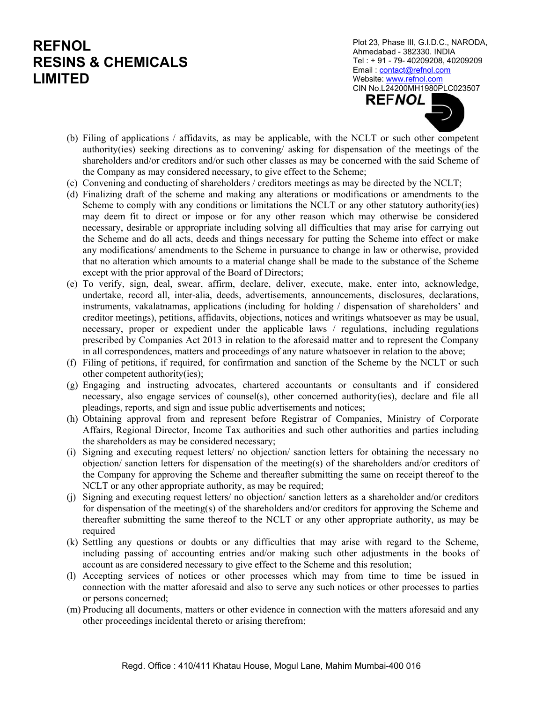Plot 23, Phase III, G.I.D.C., NARODA, Ahmedabad - 382330. INDIA Tel : + 91 - 79- 40209208, 40209209 Email : contact@refnol.com Website: www.refnol.com CIN No.L24200MH1980PLC023507 **REFNOL** 

- (b) Filing of applications / affidavits, as may be applicable, with the NCLT or such other competent authority(ies) seeking directions as to convening/ asking for dispensation of the meetings of the shareholders and/or creditors and/or such other classes as may be concerned with the said Scheme of the Company as may considered necessary, to give effect to the Scheme;
- (c) Convening and conducting of shareholders / creditors meetings as may be directed by the NCLT;
- (d) Finalizing draft of the scheme and making any alterations or modifications or amendments to the Scheme to comply with any conditions or limitations the NCLT or any other statutory authority(ies) may deem fit to direct or impose or for any other reason which may otherwise be considered necessary, desirable or appropriate including solving all difficulties that may arise for carrying out the Scheme and do all acts, deeds and things necessary for putting the Scheme into effect or make any modifications/ amendments to the Scheme in pursuance to change in law or otherwise, provided that no alteration which amounts to a material change shall be made to the substance of the Scheme except with the prior approval of the Board of Directors;
- (e) To verify, sign, deal, swear, affirm, declare, deliver, execute, make, enter into, acknowledge, undertake, record all, inter-alia, deeds, advertisements, announcements, disclosures, declarations, instruments, vakalatnamas, applications (including for holding / dispensation of shareholders' and creditor meetings), petitions, affidavits, objections, notices and writings whatsoever as may be usual, necessary, proper or expedient under the applicable laws / regulations, including regulations prescribed by Companies Act 2013 in relation to the aforesaid matter and to represent the Company in all correspondences, matters and proceedings of any nature whatsoever in relation to the above;
- (f) Filing of petitions, if required, for confirmation and sanction of the Scheme by the NCLT or such other competent authority(ies);
- (g) Engaging and instructing advocates, chartered accountants or consultants and if considered necessary, also engage services of counsel(s), other concerned authority(ies), declare and file all pleadings, reports, and sign and issue public advertisements and notices;
- (h) Obtaining approval from and represent before Registrar of Companies, Ministry of Corporate Affairs, Regional Director, Income Tax authorities and such other authorities and parties including the shareholders as may be considered necessary;
- (i) Signing and executing request letters/ no objection/ sanction letters for obtaining the necessary no objection/ sanction letters for dispensation of the meeting(s) of the shareholders and/or creditors of the Company for approving the Scheme and thereafter submitting the same on receipt thereof to the NCLT or any other appropriate authority, as may be required;
- (j) Signing and executing request letters/ no objection/ sanction letters as a shareholder and/or creditors for dispensation of the meeting(s) of the shareholders and/or creditors for approving the Scheme and thereafter submitting the same thereof to the NCLT or any other appropriate authority, as may be required
- (k) Settling any questions or doubts or any difficulties that may arise with regard to the Scheme, including passing of accounting entries and/or making such other adjustments in the books of account as are considered necessary to give effect to the Scheme and this resolution;
- (l) Accepting services of notices or other processes which may from time to time be issued in connection with the matter aforesaid and also to serve any such notices or other processes to parties or persons concerned;
- (m) Producing all documents, matters or other evidence in connection with the matters aforesaid and any other proceedings incidental thereto or arising therefrom;